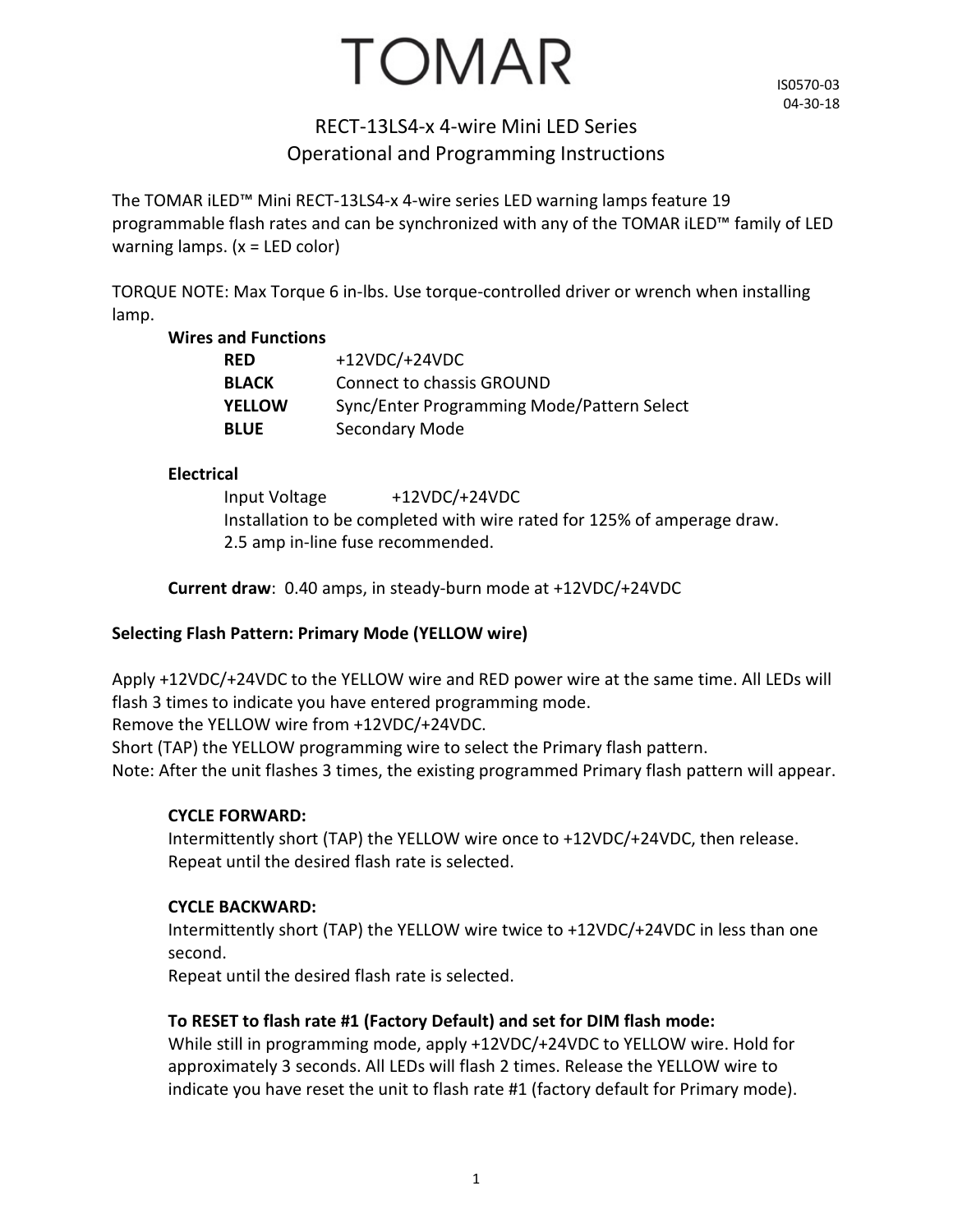# TOMAR

IS0570-03 04-30-18

### RECT-13LS4-x 4-wire Mini LED Series Operational and Programming Instructions

The TOMAR iLED™ Mini RECT-13LS4-x 4-wire series LED warning lamps feature 19 programmable flash rates and can be synchronized with any of the TOMAR iLED™ family of LED warning lamps.  $(x = LED \text{ color})$ 

TORQUE NOTE: Max Torque 6 in-lbs. Use torque-controlled driver or wrench when installing lamp.

#### **Wires and Functions**

| <b>RED</b>    | $+12VDC/+24VDC$                            |
|---------------|--------------------------------------------|
| <b>BLACK</b>  | Connect to chassis GROUND                  |
| <b>YELLOW</b> | Sync/Enter Programming Mode/Pattern Select |
| <b>BLUE</b>   | Secondary Mode                             |

#### **Electrical**

Input Voltage +12VDC/+24VDC Installation to be completed with wire rated for 125% of amperage draw. 2.5 amp in-line fuse recommended.

**Current draw**: 0.40 amps, in steady-burn mode at +12VDC/+24VDC

#### **Selecting Flash Pattern: Primary Mode (YELLOW wire)**

Apply +12VDC/+24VDC to the YELLOW wire and RED power wire at the same time. All LEDs will flash 3 times to indicate you have entered programming mode.

Remove the YELLOW wire from +12VDC/+24VDC.

Short (TAP) the YELLOW programming wire to select the Primary flash pattern. Note: After the unit flashes 3 times, the existing programmed Primary flash pattern will appear.

#### **CYCLE FORWARD:**

Intermittently short (TAP) the YELLOW wire once to +12VDC/+24VDC, then release. Repeat until the desired flash rate is selected.

#### **CYCLE BACKWARD:**

Intermittently short (TAP) the YELLOW wire twice to +12VDC/+24VDC in less than one second.

Repeat until the desired flash rate is selected.

#### **To RESET to flash rate #1 (Factory Default) and set for DIM flash mode:**

While still in programming mode, apply +12VDC/+24VDC to YELLOW wire. Hold for approximately 3 seconds. All LEDs will flash 2 times. Release the YELLOW wire to indicate you have reset the unit to flash rate #1 (factory default for Primary mode).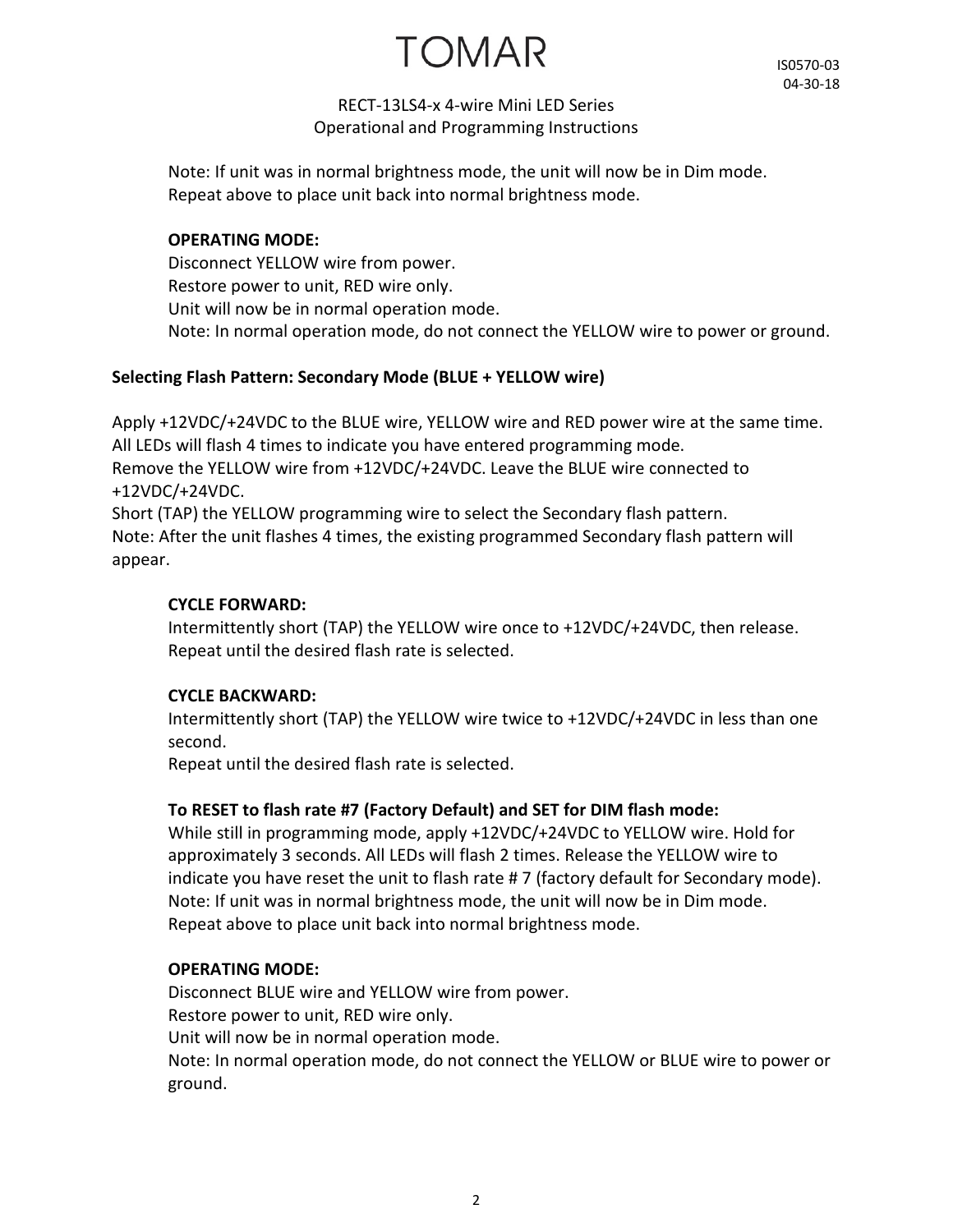TOMAR

#### RECT-13LS4-x 4-wire Mini LED Series Operational and Programming Instructions

Note: If unit was in normal brightness mode, the unit will now be in Dim mode. Repeat above to place unit back into normal brightness mode.

#### **OPERATING MODE:**

Disconnect YELLOW wire from power. Restore power to unit, RED wire only. Unit will now be in normal operation mode. Note: In normal operation mode, do not connect the YELLOW wire to power or ground.

#### **Selecting Flash Pattern: Secondary Mode (BLUE + YELLOW wire)**

Apply +12VDC/+24VDC to the BLUE wire, YELLOW wire and RED power wire at the same time. All LEDs will flash 4 times to indicate you have entered programming mode. Remove the YELLOW wire from +12VDC/+24VDC. Leave the BLUE wire connected to +12VDC/+24VDC. Short (TAP) the YELLOW programming wire to select the Secondary flash pattern.

Note: After the unit flashes 4 times, the existing programmed Secondary flash pattern will appear.

#### **CYCLE FORWARD:**

Intermittently short (TAP) the YELLOW wire once to +12VDC/+24VDC, then release. Repeat until the desired flash rate is selected.

#### **CYCLE BACKWARD:**

Intermittently short (TAP) the YELLOW wire twice to +12VDC/+24VDC in less than one second.

Repeat until the desired flash rate is selected.

#### **To RESET to flash rate #7 (Factory Default) and SET for DIM flash mode:**

While still in programming mode, apply +12VDC/+24VDC to YELLOW wire. Hold for approximately 3 seconds. All LEDs will flash 2 times. Release the YELLOW wire to indicate you have reset the unit to flash rate # 7 (factory default for Secondary mode). Note: If unit was in normal brightness mode, the unit will now be in Dim mode. Repeat above to place unit back into normal brightness mode.

#### **OPERATING MODE:**

Disconnect BLUE wire and YELLOW wire from power. Restore power to unit, RED wire only. Unit will now be in normal operation mode. Note: In normal operation mode, do not connect the YELLOW or BLUE wire to power or ground.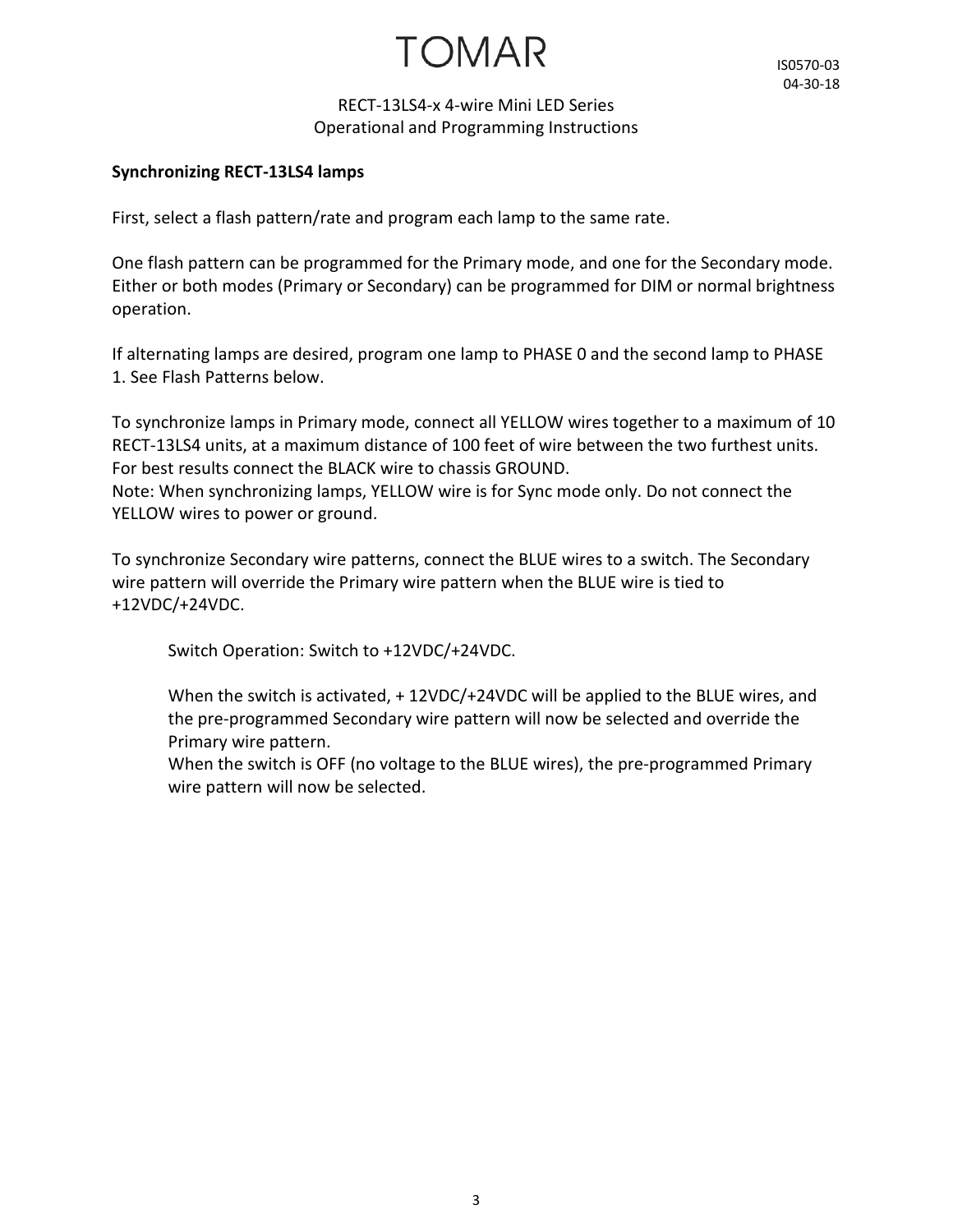## TOMAR

#### RECT-13LS4-x 4-wire Mini LED Series Operational and Programming Instructions

#### **Synchronizing RECT-13LS4 lamps**

First, select a flash pattern/rate and program each lamp to the same rate.

One flash pattern can be programmed for the Primary mode, and one for the Secondary mode. Either or both modes (Primary or Secondary) can be programmed for DIM or normal brightness operation.

If alternating lamps are desired, program one lamp to PHASE 0 and the second lamp to PHASE 1. See Flash Patterns below.

To synchronize lamps in Primary mode, connect all YELLOW wires together to a maximum of 10 RECT-13LS4 units, at a maximum distance of 100 feet of wire between the two furthest units. For best results connect the BLACK wire to chassis GROUND.

Note: When synchronizing lamps, YELLOW wire is for Sync mode only. Do not connect the YELLOW wires to power or ground.

To synchronize Secondary wire patterns, connect the BLUE wires to a switch. The Secondary wire pattern will override the Primary wire pattern when the BLUE wire is tied to +12VDC/+24VDC.

Switch Operation: Switch to +12VDC/+24VDC.

When the switch is activated, + 12VDC/+24VDC will be applied to the BLUE wires, and the pre-programmed Secondary wire pattern will now be selected and override the Primary wire pattern.

When the switch is OFF (no voltage to the BLUE wires), the pre-programmed Primary wire pattern will now be selected.